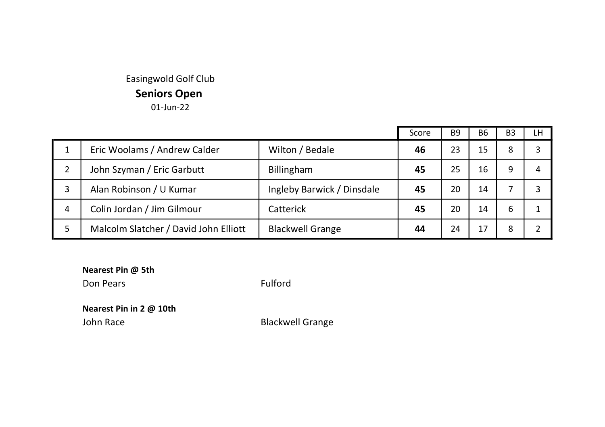## Easingwold Golf Club Seniors Open 01-Jun-22

|   |                                       |                            | Score | B <sub>9</sub> | B <sub>6</sub> | B <sub>3</sub> | LH |
|---|---------------------------------------|----------------------------|-------|----------------|----------------|----------------|----|
|   | Eric Woolams / Andrew Calder          | Wilton / Bedale            | 46    | 23             | 15             | 8              |    |
| 2 | John Szyman / Eric Garbutt            | Billingham                 | 45    | 25             | 16             | 9              | 4  |
| 3 | Alan Robinson / U Kumar               | Ingleby Barwick / Dinsdale | 45    | 20             | 14             |                |    |
| 4 | Colin Jordan / Jim Gilmour            | Catterick                  | 45    | 20             | 14             | 6              |    |
|   | Malcolm Slatcher / David John Elliott | <b>Blackwell Grange</b>    | 44    | 24             | 17             | 8              |    |

Nearest Pin @ 5th Don Pears Fulford

Nearest Pin in 2 @ 10th

John Race **Blackwell Grange**